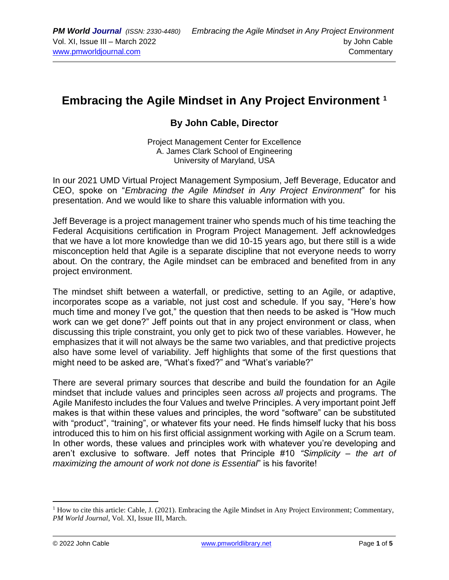## **Embracing the Agile Mindset in Any Project Environment <sup>1</sup>**

## **By John Cable, Director**

Project Management Center for Excellence A. James Clark School of Engineering University of Maryland, USA

In our 2021 UMD Virtual Project Management Symposium, Jeff Beverage, Educator and CEO, spoke on "*Embracing the Agile Mindset in Any Project Environment*" for his presentation. And we would like to share this valuable information with you.

Jeff Beverage is a project management trainer who spends much of his time teaching the Federal Acquisitions certification in Program Project Management. Jeff acknowledges that we have a lot more knowledge than we did 10-15 years ago, but there still is a wide misconception held that Agile is a separate discipline that not everyone needs to worry about. On the contrary, the Agile mindset can be embraced and benefited from in any project environment.

The mindset shift between a waterfall, or predictive, setting to an Agile, or adaptive, incorporates scope as a variable, not just cost and schedule. If you say, "Here's how much time and money I've got," the question that then needs to be asked is "How much work can we get done?" Jeff points out that in any project environment or class, when discussing this triple constraint, you only get to pick two of these variables. However, he emphasizes that it will not always be the same two variables, and that predictive projects also have some level of variability. Jeff highlights that some of the first questions that might need to be asked are, "What's fixed?" and "What's variable?"

There are several primary sources that describe and build the foundation for an Agile mindset that include values and principles seen across *all* projects and programs. The Agile Manifesto includes the four Values and twelve Principles. A very important point Jeff makes is that within these values and principles, the word "software" can be substituted with "product", "training", or whatever fits your need. He finds himself lucky that his boss introduced this to him on his first official assignment working with Agile on a Scrum team. In other words, these values and principles work with whatever you're developing and aren't exclusive to software. Jeff notes that Principle #10 *"Simplicity – the art of maximizing the amount of work not done is Essential*" is his favorite!

<sup>&</sup>lt;sup>1</sup> How to cite this article: Cable, J. (2021). Embracing the Agile Mindset in Any Project Environment; Commentary, *PM World Journal*, Vol. XI, Issue III, March.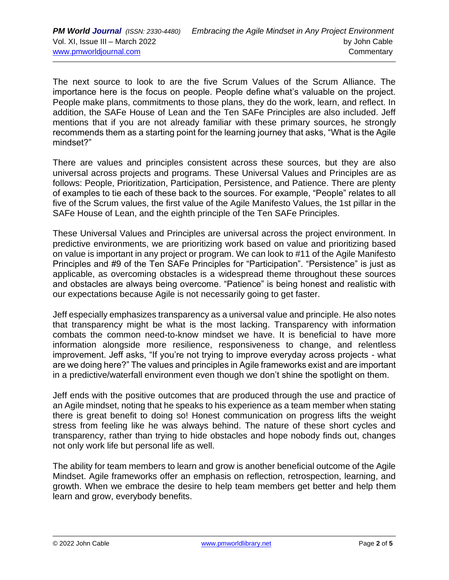The next source to look to are the five Scrum Values of the Scrum Alliance. The importance here is the focus on people. People define what's valuable on the project. People make plans, commitments to those plans, they do the work, learn, and reflect. In addition, the SAFe House of Lean and the Ten SAFe Principles are also included. Jeff mentions that if you are not already familiar with these primary sources, he strongly recommends them as a starting point for the learning journey that asks, "What is the Agile mindset?"

There are values and principles consistent across these sources, but they are also universal across projects and programs. These Universal Values and Principles are as follows: People, Prioritization, Participation, Persistence, and Patience. There are plenty of examples to tie each of these back to the sources. For example, "People" relates to all five of the Scrum values, the first value of the Agile Manifesto Values, the 1st pillar in the SAFe House of Lean, and the eighth principle of the Ten SAFe Principles.

These Universal Values and Principles are universal across the project environment. In predictive environments, we are prioritizing work based on value and prioritizing based on value is important in any project or program. We can look to #11 of the Agile Manifesto Principles and #9 of the Ten SAFe Principles for "Participation". "Persistence" is just as applicable, as overcoming obstacles is a widespread theme throughout these sources and obstacles are always being overcome. "Patience" is being honest and realistic with our expectations because Agile is not necessarily going to get faster.

Jeff especially emphasizes transparency as a universal value and principle. He also notes that transparency might be what is the most lacking. Transparency with information combats the common need-to-know mindset we have. It is beneficial to have more information alongside more resilience, responsiveness to change, and relentless improvement. Jeff asks, "If you're not trying to improve everyday across projects - what are we doing here?" The values and principles in Agile frameworks exist and are important in a predictive/waterfall environment even though we don't shine the spotlight on them.

Jeff ends with the positive outcomes that are produced through the use and practice of an Agile mindset, noting that he speaks to his experience as a team member when stating there is great benefit to doing so! Honest communication on progress lifts the weight stress from feeling like he was always behind. The nature of these short cycles and transparency, rather than trying to hide obstacles and hope nobody finds out, changes not only work life but personal life as well.

The ability for team members to learn and grow is another beneficial outcome of the Agile Mindset. Agile frameworks offer an emphasis on reflection, retrospection, learning, and growth. When we embrace the desire to help team members get better and help them learn and grow, everybody benefits.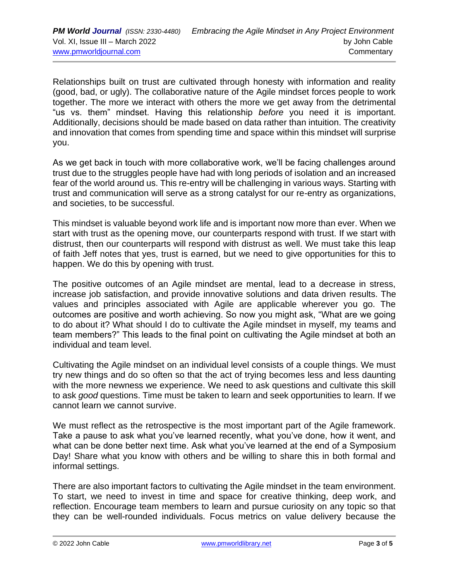Relationships built on trust are cultivated through honesty with information and reality (good, bad, or ugly). The collaborative nature of the Agile mindset forces people to work together. The more we interact with others the more we get away from the detrimental "us vs. them" mindset. Having this relationship *before* you need it is important. Additionally, decisions should be made based on data rather than intuition. The creativity and innovation that comes from spending time and space within this mindset will surprise you.

As we get back in touch with more collaborative work, we'll be facing challenges around trust due to the struggles people have had with long periods of isolation and an increased fear of the world around us. This re-entry will be challenging in various ways. Starting with trust and communication will serve as a strong catalyst for our re-entry as organizations, and societies, to be successful.

This mindset is valuable beyond work life and is important now more than ever. When we start with trust as the opening move, our counterparts respond with trust. If we start with distrust, then our counterparts will respond with distrust as well. We must take this leap of faith Jeff notes that yes, trust is earned, but we need to give opportunities for this to happen. We do this by opening with trust.

The positive outcomes of an Agile mindset are mental, lead to a decrease in stress, increase job satisfaction, and provide innovative solutions and data driven results. The values and principles associated with Agile are applicable wherever you go. The outcomes are positive and worth achieving. So now you might ask, "What are we going to do about it? What should I do to cultivate the Agile mindset in myself, my teams and team members?" This leads to the final point on cultivating the Agile mindset at both an individual and team level.

Cultivating the Agile mindset on an individual level consists of a couple things. We must try new things and do so often so that the act of trying becomes less and less daunting with the more newness we experience. We need to ask questions and cultivate this skill to ask *good* questions. Time must be taken to learn and seek opportunities to learn. If we cannot learn we cannot survive.

We must reflect as the retrospective is the most important part of the Agile framework. Take a pause to ask what you've learned recently, what you've done, how it went, and what can be done better next time. Ask what you've learned at the end of a Symposium Day! Share what you know with others and be willing to share this in both formal and informal settings.

There are also important factors to cultivating the Agile mindset in the team environment. To start, we need to invest in time and space for creative thinking, deep work, and reflection. Encourage team members to learn and pursue curiosity on any topic so that they can be well-rounded individuals. Focus metrics on value delivery because the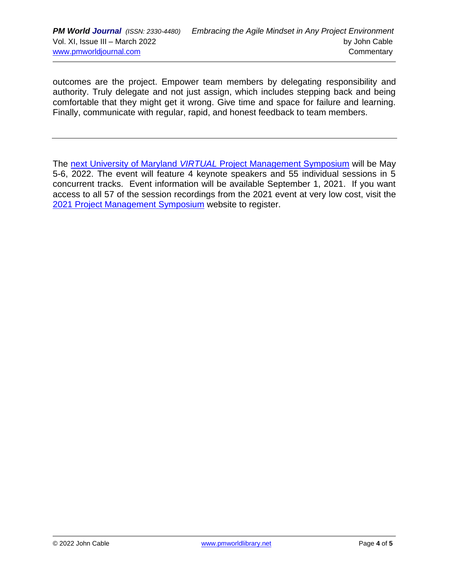outcomes are the project. Empower team members by delegating responsibility and authority. Truly delegate and not just assign, which includes stepping back and being comfortable that they might get it wrong. Give time and space for failure and learning. Finally, communicate with regular, rapid, and honest feedback to team members.

The next University of Maryland *VIRTUAL* [Project Management Symposium](https://pmsymposium.umd.edu/pm2022/) will be May 5-6, 2022. The event will feature 4 keynote speakers and 55 individual sessions in 5 concurrent tracks. Event information will be available September 1, 2021. If you want access to all 57 of the session recordings from the 2021 event at very low cost, visit the [2021 Project Management Symposium](https://pmsymposium.umd.edu/pm2021) website to register.